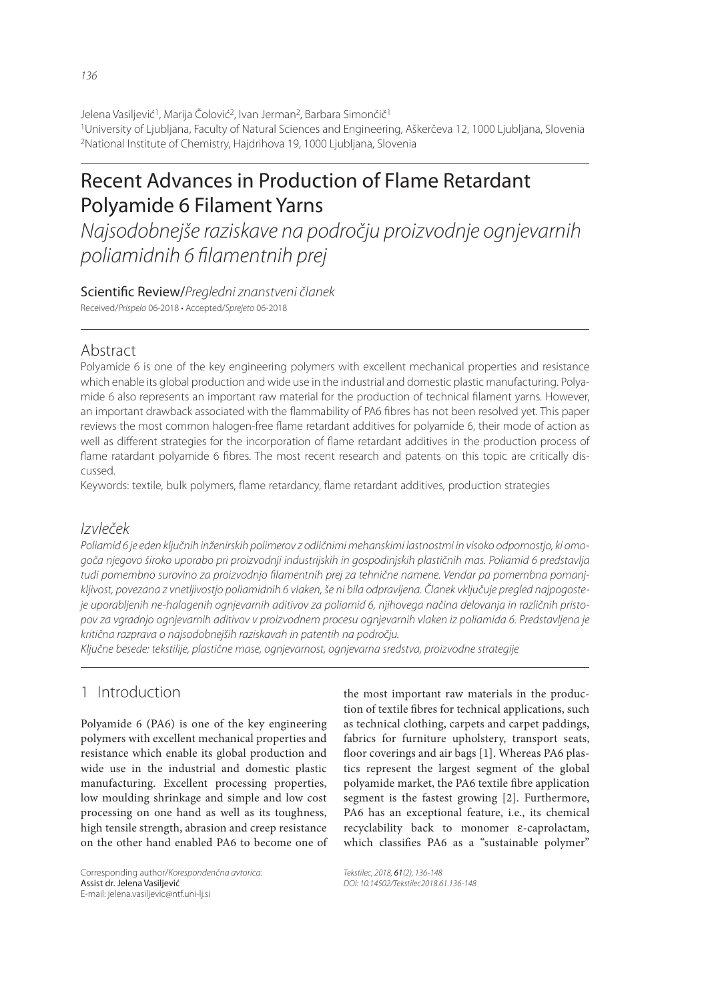Jelena Vasiljević<sup>1</sup>, Marija Čolović<sup>2</sup>, Ivan Jerman<sup>2</sup>, Barbara Simončič<sup>1</sup> 1University of Ljubljana, Faculty of Natural Sciences and Engineering, Aškerčeva 12, 1000 Ljubljana, Slovenia 2National Institute of Chemistry, Hajdrihova 19, 1000 Ljubljana, Slovenia

# Recent Advances in Production of Flame Retardant Polyamide 6 Filament Yarns

Najsodobnejše raziskave na področju proizvodnje ognjevarnih poliamidnih 6 filamentnih prej

Scientific Review/Pregledni znanstveni članek Received/Prispelo 06-2018 • Accepted/Sprejeto 06-2018

## Abstract

Polyamide 6 is one of the key engineering polymers with excellent mechanical properties and resistance which enable its global production and wide use in the industrial and domestic plastic manufacturing. Polyamide 6 also represents an important raw material for the production of technical filament yarns. However, an important drawback associated with the flammability of PA6 fibres has not been resolved yet. This paper reviews the most common halogen-free flame retardant additives for polyamide 6, their mode of action as well as different strategies for the incorporation of flame retardant additives in the production process of flame ratardant polyamide 6 fibres. The most recent research and patents on this topic are critically discussed.

Keywords: textile, bulk polymers, flame retardancy, flame retardant additives, production strategies

#### Izvleček

Poliamid 6 je eden ključnih inženirskih polimerov z odličnimi mehanskimi lastnostmi in visoko odpornostjo, ki omogoča njegovo široko uporabo pri proizvodnji industrijskih in gospodinjskih plastičnih mas. Poliamid 6 predstavlja tudi pomembno surovino za proizvodnjo filamentnih prej za tehnične namene. Vendar pa pomembna pomanjkljivost, povezana z vnetljivostjo poliamidnih 6 vlaken, še ni bila odpravljena. Članek vključuje pregled najpogosteje uporabljenih ne-halogenih ognjevarnih aditivov za poliamid 6, njihovega načina delovanja in različnih pristopov za vgradnjo ognjevarnih aditivov v proizvodnem procesu ognjevarnih vlaken iz poliamida 6. Predstavljena je kritična razprava o najsodobnejših raziskavah in patentih na področju.

Ključne besede: tekstilije, plastične mase, ognjevarnost, ognjevarna sredstva, proizvodne strategije

## 1 Introduction

Polyamide 6 (PA6) is one of the key engineering polymers with excellent mechanical properties and resistance which enable its global production and wide use in the industrial and domestic plastic manufacturing. Excellent processing properties, low moulding shrinkage and simple and low cost processing on one hand as well as its toughness, high tensile strength, abrasion and creep resistance on the other hand enabled PA6 to become one of

Corresponding author/Korespondenčna avtorica: Assist dr. Jelena Vasiljević E-mail: jelena.vasiljevic@ntf.uni-lj.si

the most important raw materials in the production of textile fibres for technical applications, such as technical clothing, carpets and carpet paddings, fabrics for furniture upholstery, transport seats, floor coverings and air bags [1]. Whereas PA6 plastics represent the largest segment of the global polyamide market, the PA6 textile fibre application segment is the fastest growing [2]. Furthermore, PA6 has an exceptional feature, i.e., its chemical recyclability back to monomer ε-caprolactam, which classifies PA6 as a "sustainable polymer"

Tekstilec, 2018, 61(2), 136-148 DOI: 10.14502/Tekstilec2018.61.136-148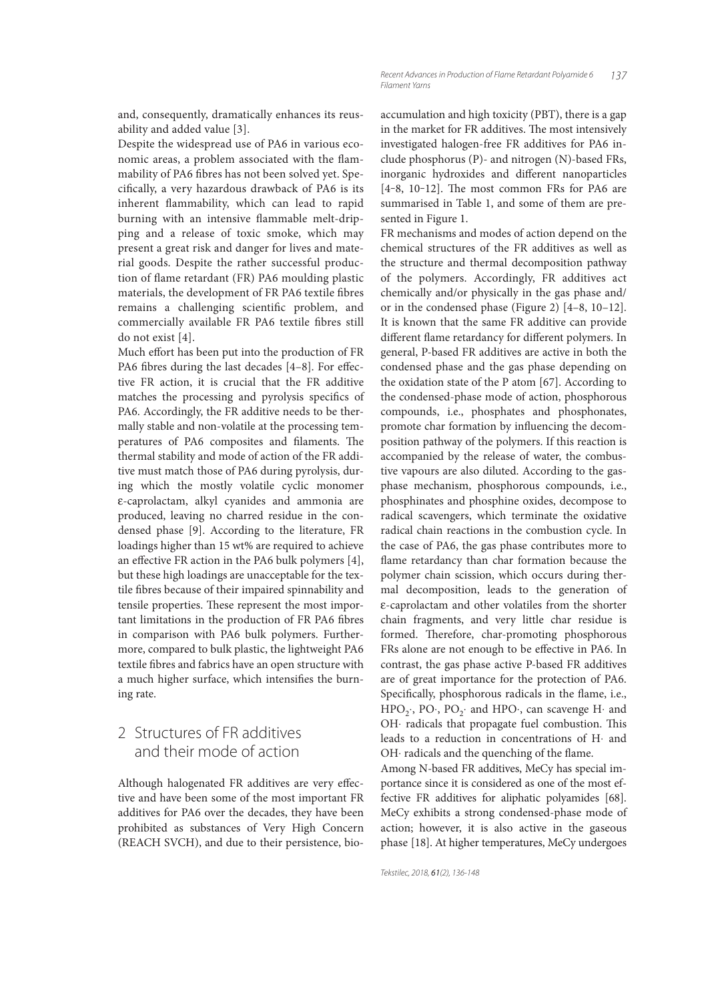and, consequently, dramatically enhances its reusability and added value [3].

Despite the widespread use of PA6 in various economic areas, a problem associated with the flammability of PA6 fibres has not been solved yet. Specifi cally, a very hazardous drawback of PA6 is its inherent flammability, which can lead to rapid burning with an intensive flammable melt-dripping and a release of toxic smoke, which may present a great risk and danger for lives and material goods. Despite the rather successful production of flame retardant (FR) PA6 moulding plastic materials, the development of FR PA6 textile fibres remains a challenging scientific problem, and commercially available FR PA6 textile fibres still do not exist [4].

Much effort has been put into the production of FR PA6 fibres during the last decades  $[4-8]$ . For effective FR action, it is crucial that the FR additive matches the processing and pyrolysis specifics of PA6. Accordingly, the FR additive needs to be thermally stable and non-volatile at the processing temperatures of PA6 composites and filaments. The thermal stability and mode of action of the FR additive must match those of PA6 during pyrolysis, during which the mostly volatile cyclic monomer ε-caprolactam, alkyl cyanides and ammonia are produced, leaving no charred residue in the condensed phase [9]. According to the literature, FR loadings higher than 15 wt% are required to achieve an effective FR action in the PA6 bulk polymers  $[4]$ , but these high loadings are unacceptable for the textile fibres because of their impaired spinnability and tensile properties. These represent the most important limitations in the production of FR PA6 fibres in comparison with PA6 bulk polymers. Furthermore, compared to bulk plastic, the lightweight PA6 textile fibres and fabrics have an open structure with a much higher surface, which intensifies the burning rate.

# 2 Structures of FR additives and their mode of action

Although halogenated FR additives are very effective and have been some of the most important FR additives for PA6 over the decades, they have been prohibited as substances of Very High Concern (REACH SVCH), and due to their persistence, bioaccumulation and high toxicity (PBT), there is a gap in the market for FR additives. The most intensively investigated halogen-free FR additives for PA6 include phosphorus (P)- and nitrogen (N)-based FRs, inorganic hydroxides and different nanoparticles  $[4-8, 10-12]$ . The most common FRs for PA6 are summarised in Table 1, and some of them are presented in Figure 1.

FR mechanisms and modes of action depend on the chemical structures of the FR additives as well as the structure and thermal decomposition pathway of the polymers. Accordingly, FR additives act chemically and/or physically in the gas phase and/ or in the condensed phase (Figure 2) [4–8, 10–12]. It is known that the same FR additive can provide different flame retardancy for different polymers. In general, P-based FR additives are active in both the condensed phase and the gas phase depending on the oxidation state of the P atom [67]. According to the condensed-phase mode of action, phosphorous compounds, i.e., phosphates and phosphonates, promote char formation by influencing the decomposition pathway of the polymers. If this reaction is accompanied by the release of water, the combustive vapours are also diluted. According to the gasphase mechanism, phosphorous compounds, i.e., phosphinates and phosphine oxides, decompose to radical scavengers, which terminate the oxidative radical chain reactions in the combustion cycle. In the case of PA6, the gas phase contributes more to flame retardancy than char formation because the polymer chain scission, which occurs during thermal decomposition, leads to the generation of ε-caprolactam and other volatiles from the shorter chain fragments, and very little char residue is formed. Therefore, char-promoting phosphorous FRs alone are not enough to be effective in PA6. In contrast, the gas phase active P-based FR additives are of great importance for the protection of PA6. Specifically, phosphorous radicals in the flame, i.e., HPO<sub>2</sub>⋅, PO⋅, PO<sub>2</sub>⋅ and HPO⋅, can scavenge H⋅ and OH⋅ radicals that propagate fuel combustion. This leads to a reduction in concentrations of H⋅ and OH⋅ radicals and the quenching of the flame.

Among N-based FR additives, MeCy has special importance since it is considered as one of the most effective FR additives for aliphatic polyamides [68]. MeCy exhibits a strong condensed-phase mode of action; however, it is also active in the gaseous phase [18]. At higher temperatures, MeCy undergoes

Tekstilec, 2018, 61(2), 136-148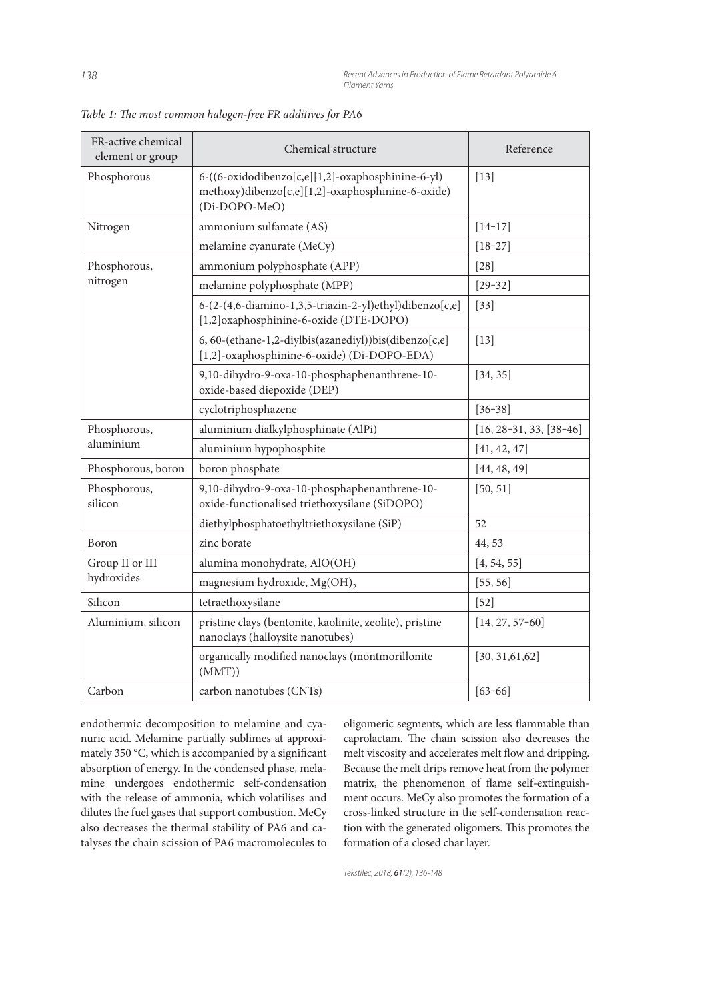| FR-active chemical<br>element or group | Chemical structure                                                                                                      | Reference                 |
|----------------------------------------|-------------------------------------------------------------------------------------------------------------------------|---------------------------|
| Phosphorous                            | 6-((6-oxidodibenzo[c,e][1,2]-oxaphosphinine-6-yl)<br>methoxy)dibenzo[c,e][1,2]-oxaphosphinine-6-oxide)<br>(Di-DOPO-MeO) | $[13]$                    |
| Nitrogen                               | ammonium sulfamate (AS)                                                                                                 | $[14-17]$                 |
|                                        | melamine cyanurate (MeCy)                                                                                               | $[18 - 27]$               |
| Phosphorous,<br>nitrogen               | ammonium polyphosphate (APP)                                                                                            | $[28]$                    |
|                                        | melamine polyphosphate (MPP)                                                                                            | $[29 - 32]$               |
|                                        | 6-(2-(4,6-diamino-1,3,5-triazin-2-yl)ethyl)dibenzo[c,e]<br>[1,2] oxaphosphinine-6-oxide (DTE-DOPO)                      | $[33]$                    |
|                                        | 6, 60-(ethane-1,2-diylbis(azanediyl))bis(dibenzo[c,e]<br>[1,2]-oxaphosphinine-6-oxide) (Di-DOPO-EDA)                    | $[13]$                    |
|                                        | 9,10-dihydro-9-oxa-10-phosphaphenanthrene-10-<br>oxide-based diepoxide (DEP)                                            | [34, 35]                  |
|                                        | cyclotriphosphazene                                                                                                     | $[36 - 38]$               |
| Phosphorous,<br>aluminium              | aluminium dialkylphosphinate (AlPi)                                                                                     | $[16, 28-31, 33, [38-46]$ |
|                                        | aluminium hypophosphite                                                                                                 | [41, 42, 47]              |
| Phosphorous, boron                     | boron phosphate                                                                                                         | [44, 48, 49]              |
| Phosphorous,<br>silicon                | 9,10-dihydro-9-oxa-10-phosphaphenanthrene-10-<br>oxide-functionalised triethoxysilane (SiDOPO)                          | [50, 51]                  |
|                                        | diethylphosphatoethyltriethoxysilane (SiP)                                                                              | 52                        |
| Boron                                  | zinc borate                                                                                                             | 44,53                     |
| Group II or III<br>hydroxides          | alumina monohydrate, AlO(OH)                                                                                            | [4, 54, 55]               |
|                                        | magnesium hydroxide, Mg(OH)2                                                                                            | [55, 56]                  |
| Silicon                                | tetraethoxysilane                                                                                                       | $[52]$                    |
| Aluminium, silicon                     | pristine clays (bentonite, kaolinite, zeolite), pristine<br>nanoclays (halloysite nanotubes)                            | $[14, 27, 57-60]$         |
|                                        | organically modified nanoclays (montmorillonite<br>(MMT))                                                               | [30, 31, 61, 62]          |
| Carbon                                 | carbon nanotubes (CNTs)                                                                                                 | $[63 - 66]$               |

Table 1: The most common halogen-free FR additives for PA6

endothermic decomposition to melamine and cyanuric acid. Melamine partially sublimes at approximately 350 °C, which is accompanied by a significant absorption of energy. In the condensed phase, melamine undergoes endothermic self-condensation with the release of ammonia, which volatilises and dilutes the fuel gases that support combustion. MeCy also decreases the thermal stability of PA6 and catalyses the chain scission of PA6 macromolecules to oligomeric segments, which are less flammable than caprolactam. The chain scission also decreases the melt viscosity and accelerates melt flow and dripping. Because the melt drips remove heat from the polymer matrix, the phenomenon of flame self-extinguishment occurs. MeCy also promotes the formation of a cross-linked structure in the self-condensation reaction with the generated oligomers. This promotes the formation of a closed char layer.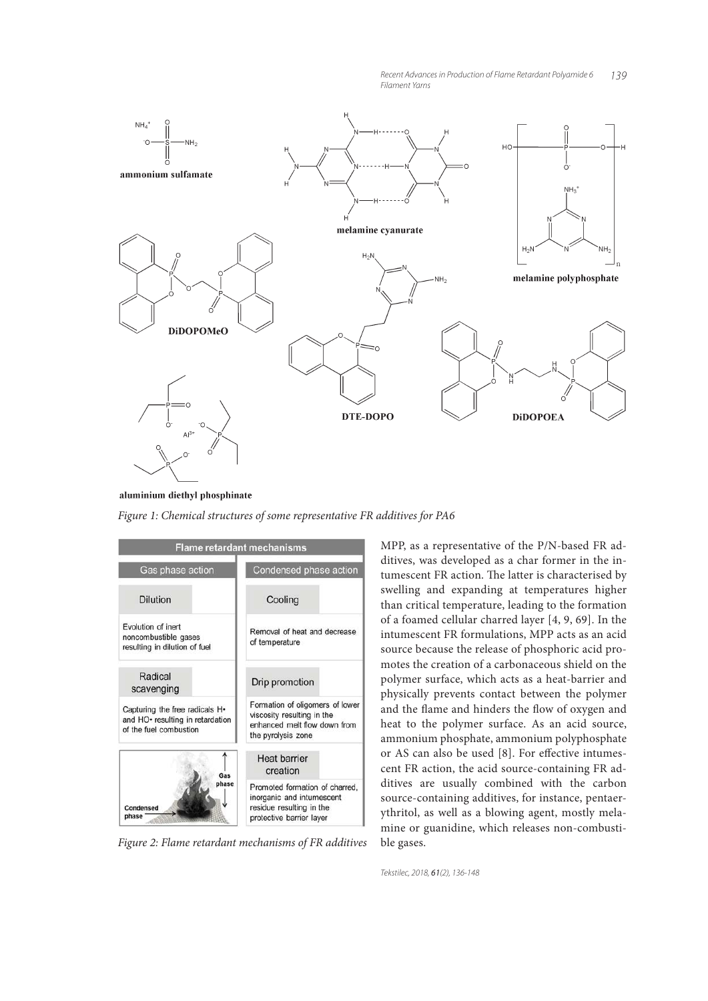

aluminium diethyl phosphinate

*Figure 1: Chemical structures of some representative FR additives for PA6*



*Figure 2: Flame retardant mechanisms of FR additives*

MPP, as a representative of the P/N-based FR additives, was developed as a char former in the intumescent FR action. The latter is characterised by swelling and expanding at temperatures higher than critical temperature, leading to the formation of a foamed cellular charred layer [4, 9, 69]. In the intumescent FR formulations, MPP acts as an acid source because the release of phosphoric acid promotes the creation of a carbonaceous shield on the polymer surface, which acts as a heat-barrier and physically prevents contact between the polymer and the flame and hinders the flow of oxygen and heat to the polymer surface. As an acid source, ammonium phosphate, ammonium polyphosphate or AS can also be used [8]. For effective intumescent FR action, the acid source-containing FR additives are usually combined with the carbon source-containing additives, for instance, pentaerythritol, as well as a blowing agent, mostly melamine or guanidine, which releases non-combustible gases.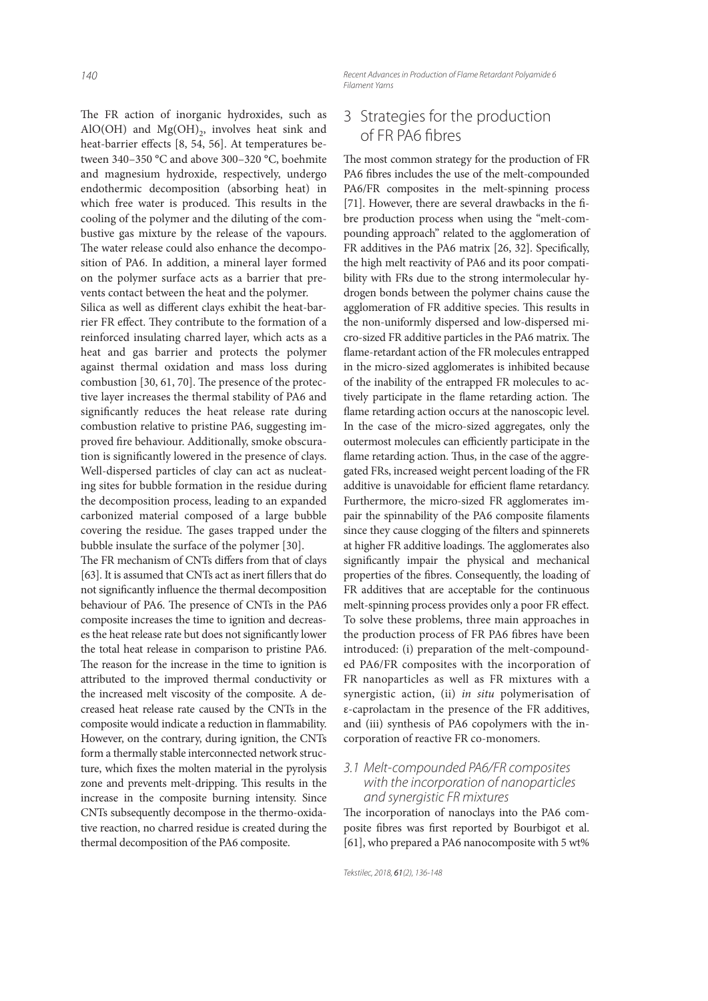The FR action of inorganic hydroxides, such as AlO(OH) and  $Mg(OH)_{2}$ , involves heat sink and heat-barrier effects [8, 54, 56]. At temperatures between 340–350 °C and above 300–320 °C, boehmite and magnesium hydroxide, respectively, undergo endothermic decomposition (absorbing heat) in which free water is produced. This results in the cooling of the polymer and the diluting of the combustive gas mixture by the release of the vapours. The water release could also enhance the decomposition of PA6. In addition, a mineral layer formed on the polymer surface acts as a barrier that prevents contact between the heat and the polymer.

Silica as well as different clays exhibit the heat-barrier FR effect. They contribute to the formation of a reinforced insulating charred layer, which acts as a heat and gas barrier and protects the polymer against thermal oxidation and mass loss during combustion  $[30, 61, 70]$ . The presence of the protective layer increases the thermal stability of PA6 and significantly reduces the heat release rate during combustion relative to pristine PA6, suggesting improved fire behaviour. Additionally, smoke obscuration is significantly lowered in the presence of clays. Well-dispersed particles of clay can act as nucleating sites for bubble formation in the residue during the decomposition process, leading to an expanded carbonized material composed of a large bubble covering the residue. The gases trapped under the bubble insulate the surface of the polymer [30].

The FR mechanism of CNTs differs from that of clays [63]. It is assumed that CNTs act as inert fillers that do not significantly influence the thermal decomposition behaviour of PA6. The presence of CNTs in the PA6 composite increases the time to ignition and decreases the heat release rate but does not significantly lower the total heat release in comparison to pristine PA6. The reason for the increase in the time to ignition is attributed to the improved thermal conductivity or the increased melt viscosity of the composite. A decreased heat release rate caused by the CNTs in the composite would indicate a reduction in flammability. However, on the contrary, during ignition, the CNTs form a thermally stable interconnected network structure, which fixes the molten material in the pyrolysis zone and prevents melt-dripping. This results in the increase in the composite burning intensity. Since CNTs subsequently decompose in the thermo-oxidative reaction, no charred residue is created during the thermal decomposition of the PA6 composite.

Recent Advances in Production of Flame Retardant Polyamide 6 Filament Yarns

## 3 Strategies for the production of FR PA6 fibres

The most common strategy for the production of FR PA6 fibres includes the use of the melt-compounded PA6/FR composites in the melt-spinning process [71]. However, there are several drawbacks in the fibre production process when using the "melt-compounding approach" related to the agglomeration of FR additives in the PA6 matrix [26, 32]. Specifically, the high melt reactivity of PA6 and its poor compatibility with FRs due to the strong intermolecular hydrogen bonds between the polymer chains cause the agglomeration of FR additive species. This results in the non-uniformly dispersed and low-dispersed micro-sized FR additive particles in the PA6 matrix. The flame-retardant action of the FR molecules entrapped in the micro-sized agglomerates is inhibited because of the inability of the entrapped FR molecules to actively participate in the flame retarding action. The flame retarding action occurs at the nanoscopic level. In the case of the micro-sized aggregates, only the outermost molecules can efficiently participate in the flame retarding action. Thus, in the case of the aggregated FRs, increased weight percent loading of the FR additive is unavoidable for efficient flame retardancy. Furthermore, the micro-sized FR agglomerates impair the spinnability of the PA6 composite filaments since they cause clogging of the filters and spinnerets at higher FR additive loadings. The agglomerates also significantly impair the physical and mechanical properties of the fibres. Consequently, the loading of FR additives that are acceptable for the continuous melt-spinning process provides only a poor FR effect. To solve these problems, three main approaches in the production process of FR PA6 fibres have been introduced: (i) preparation of the melt-compounded PA6/FR composites with the incorporation of FR nanoparticles as well as FR mixtures with a synergistic action, (ii) *in situ* polymerisation of ε-caprolactam in the presence of the FR additives, and (iii) synthesis of PA6 copolymers with the incorporation of reactive FR co-monomers.

#### 3.1 Melt-compounded PA6/FR composites with the incorporation of nanoparticles and synergistic FR mixtures

The incorporation of nanoclays into the PA6 composite fibres was first reported by Bourbigot et al. [61], who prepared a PA6 nanocomposite with 5 wt%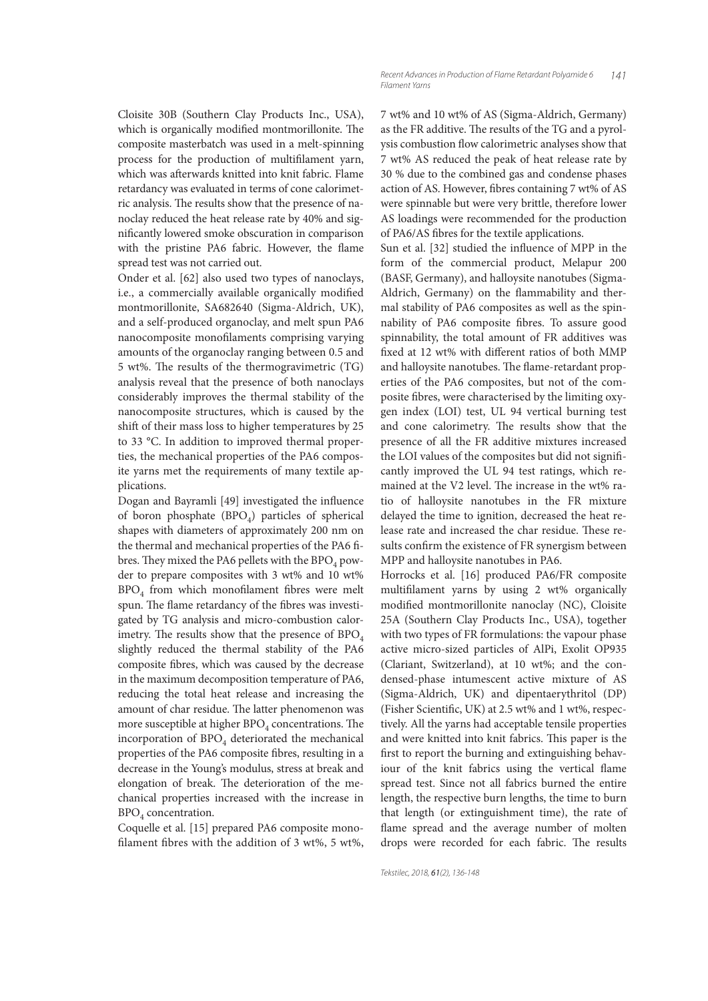Cloisite 30B (Southern Clay Products Inc., USA), which is organically modified montmorillonite. The composite masterbatch was used in a melt-spinning process for the production of multifilament yarn, which was afterwards knitted into knit fabric. Flame retardancy was evaluated in terms of cone calorimetric analysis. The results show that the presence of nanoclay reduced the heat release rate by 40% and significantly lowered smoke obscuration in comparison with the pristine PA6 fabric. However, the flame spread test was not carried out.

Onder et al. [62] also used two types of nanoclays, i.e., a commercially available organically modified montmorillonite, SA682640 (Sigma-Aldrich, UK), and a self-produced organoclay, and melt spun PA6 nanocomposite monofilaments comprising varying amounts of the organoclay ranging between 0.5 and 5 wt%. The results of the thermogravimetric  $(TG)$ analysis reveal that the presence of both nanoclays considerably improves the thermal stability of the nanocomposite structures, which is caused by the shift of their mass loss to higher temperatures by 25 to 33 °C. In addition to improved thermal properties, the mechanical properties of the PA6 composite yarns met the requirements of many textile applications.

Dogan and Bayramli [49] investigated the influence of boron phosphate  $(BPO<sub>A</sub>)$  particles of spherical shapes with diameters of approximately 200 nm on the thermal and mechanical properties of the PA6 fibres. They mixed the PA6 pellets with the  $BPO<sub>4</sub>$  powder to prepare composites with 3 wt% and 10 wt%  $BPO<sub>4</sub>$  from which monofilament fibres were melt spun. The flame retardancy of the fibres was investigated by TG analysis and micro-combustion calorimetry. The results show that the presence of  $BPO<sub>4</sub>$ slightly reduced the thermal stability of the PA6 composite fibres, which was caused by the decrease in the maximum decomposition temperature of PA6, reducing the total heat release and increasing the amount of char residue. The latter phenomenon was more susceptible at higher  $BPO<sub>4</sub>$  concentrations. The incorporation of  $BPO<sub>4</sub>$  deteriorated the mechanical properties of the PA6 composite fibres, resulting in a decrease in the Young's modulus, stress at break and elongation of break. The deterioration of the mechanical properties increased with the increase in BPO<sub>4</sub> concentration.

Coquelle et al. [15] prepared PA6 composite monofilament fibres with the addition of 3 wt%, 5 wt%, 7 wt% and 10 wt% of AS (Sigma-Aldrich, Germany) as the FR additive. The results of the TG and a pyrolysis combustion flow calorimetric analyses show that 7 wt% AS reduced the peak of heat release rate by 30 % due to the combined gas and condense phases action of AS. However, fibres containing 7 wt% of AS were spinnable but were very brittle, therefore lower AS loadings were recommended for the production of PA6/AS fibres for the textile applications.

141

Sun et al. [32] studied the influence of MPP in the form of the commercial product, Melapur 200 (BASF, Germany), and halloysite nanotubes (Sigma-Aldrich, Germany) on the flammability and thermal stability of PA6 composites as well as the spinnability of PA6 composite fibres. To assure good spinnability, the total amount of FR additives was fixed at 12 wt% with different ratios of both MMP and halloysite nanotubes. The flame-retardant properties of the PA6 composites, but not of the composite fibres, were characterised by the limiting oxygen index (LOI) test, UL 94 vertical burning test and cone calorimetry. The results show that the presence of all the FR additive mixtures increased the LOI values of the composites but did not significantly improved the UL 94 test ratings, which remained at the V2 level. The increase in the wt% ratio of halloysite nanotubes in the FR mixture delayed the time to ignition, decreased the heat release rate and increased the char residue. These results confirm the existence of FR synergism between MPP and halloysite nanotubes in PA6.

Horrocks et al. [16] produced PA6/FR composite multifilament yarns by using 2 wt% organically modified montmorillonite nanoclay (NC), Cloisite 25A (Southern Clay Products Inc., USA), together with two types of FR formulations: the vapour phase active micro-sized particles of AlPi, Exolit OP935 (Clariant, Switzerland), at 10 wt%; and the condensed-phase intumescent active mixture of AS (Sigma-Aldrich, UK) and dipentaerythritol (DP) (Fisher Scientific, UK) at 2.5 wt% and 1 wt%, respectively. All the yarns had acceptable tensile properties and were knitted into knit fabrics. This paper is the first to report the burning and extinguishing behaviour of the knit fabrics using the vertical flame spread test. Since not all fabrics burned the entire length, the respective burn lengths, the time to burn that length (or extinguishment time), the rate of flame spread and the average number of molten drops were recorded for each fabric. The results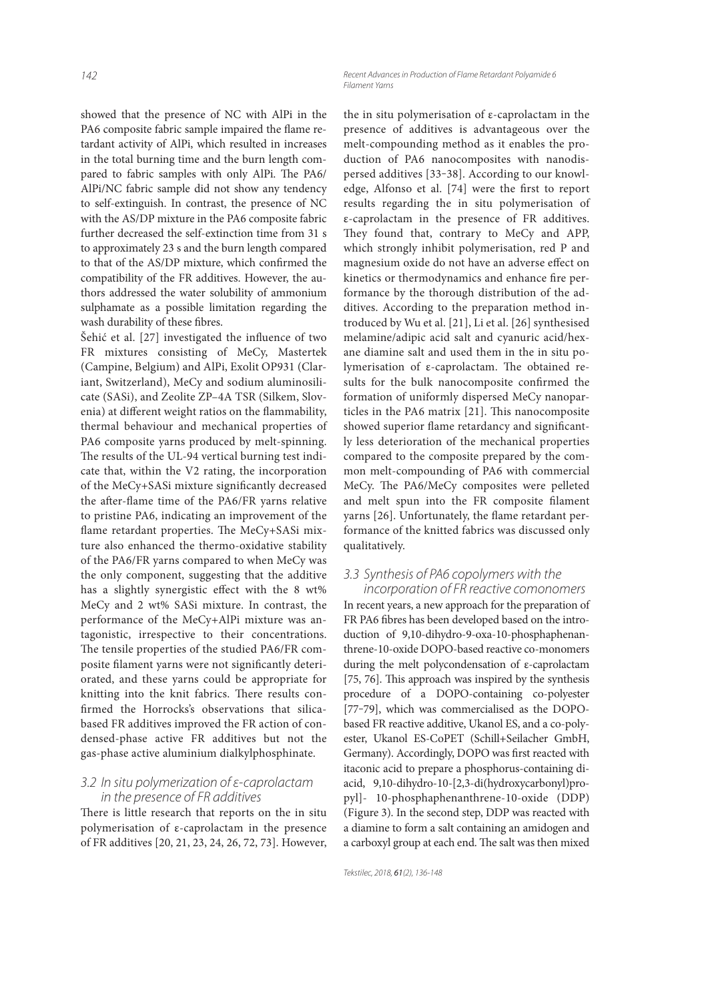showed that the presence of NC with AlPi in the PA6 composite fabric sample impaired the flame retardant activity of AlPi, which resulted in increases in the total burning time and the burn length compared to fabric samples with only AlPi. The PA6/ AlPi/NC fabric sample did not show any tendency to self-extinguish. In contrast, the presence of NC with the AS/DP mixture in the PA6 composite fabric further decreased the self-extinction time from 31 s to approximately 23 s and the burn length compared to that of the AS/DP mixture, which confirmed the compatibility of the FR additives. However, the authors addressed the water solubility of ammonium sulphamate as a possible limitation regarding the wash durability of these fibres.

Šehić et al.  $[27]$  investigated the influence of two FR mixtures consisting of MeCy, Mastertek (Campine, Belgium) and AlPi, Exolit OP931 (Clariant, Switzerland), MeCy and sodium aluminosilicate (SASi), and Zeolite ZP–4A TSR (Silkem, Slovenia) at different weight ratios on the flammability, thermal behaviour and mechanical properties of PA6 composite yarns produced by melt-spinning. The results of the UL-94 vertical burning test indicate that, within the V2 rating, the incorporation of the MeCy+SASi mixture significantly decreased the after-flame time of the PA6/FR yarns relative to pristine PA6, indicating an improvement of the flame retardant properties. The MeCy+SASi mixture also enhanced the thermo-oxidative stability of the PA6/FR yarns compared to when MeCy was the only component, suggesting that the additive has a slightly synergistic effect with the 8 wt% MeCy and 2 wt% SASi mixture. In contrast, the performance of the MeCy+AlPi mixture was antagonistic, irrespective to their concentrations. The tensile properties of the studied PA6/FR composite filament yarns were not significantly deteriorated, and these yarns could be appropriate for knitting into the knit fabrics. There results confirmed the Horrocks's observations that silicabased FR additives improved the FR action of condensed-phase active FR additives but not the gas-phase active aluminium dialkylphosphinate.

#### 3.2 In situ polymerization of ε-caprolactam in the presence of FR additives

There is little research that reports on the in situ polymerisation of ε-caprolactam in the presence of FR additives [20, 21, 23, 24, 26, 72, 73]. However, the in situ polymerisation of ε-caprolactam in the presence of additives is advantageous over the melt-compounding method as it enables the production of PA6 nanocomposites with nanodispersed additives [33-38]. According to our knowledge, Alfonso et al. [74] were the first to report results regarding the in situ polymerisation of ε-caprolactam in the presence of FR additives. They found that, contrary to MeCy and APP, which strongly inhibit polymerisation, red P and magnesium oxide do not have an adverse effect on kinetics or thermodynamics and enhance fire performance by the thorough distribution of the additives. According to the preparation method introduced by Wu et al. [21], Li et al. [26] synthesised melamine/adipic acid salt and cyanuric acid/hexane diamine salt and used them in the in situ polymerisation of  $\varepsilon$ -caprolactam. The obtained results for the bulk nanocomposite confirmed the formation of uniformly dispersed MeCy nanoparticles in the PA6 matrix [21]. This nanocomposite showed superior flame retardancy and significantly less deterioration of the mechanical properties compared to the composite prepared by the common melt-compounding of PA6 with commercial MeCy. The PA6/MeCy composites were pelleted and melt spun into the FR composite filament varns [26]. Unfortunately, the flame retardant performance of the knitted fabrics was discussed only qualitatively.

#### 3.3 Synthesis of PA6 copolymers with the incorporation of FR reactive comonomers

In recent years, a new approach for the preparation of FR PA6 fibres has been developed based on the introduction of 9,10-dihydro-9-oxa-10-phosphaphenanthrene-10-oxide DOPO-based reactive co-monomers during the melt polycondensation of ε-caprolactam [75, 76]. This approach was inspired by the synthesis procedure of a DOPO-containing co-polyester [77-79], which was commercialised as the DOPObased FR reactive additive, Ukanol ES, and a co-polyester, Ukanol ES-CoPET (Schill+Seilacher GmbH, Germany). Accordingly, DOPO was first reacted with itaconic acid to prepare a phosphorus-containing diacid, 9,10-dihydro-10-[2,3-di(hydroxycarbonyl)propyl]- 10-phosphaphenanthrene-10-oxide (DDP) (Figure 3). In the second step, DDP was reacted with a diamine to form a salt containing an amidogen and a carboxyl group at each end. The salt was then mixed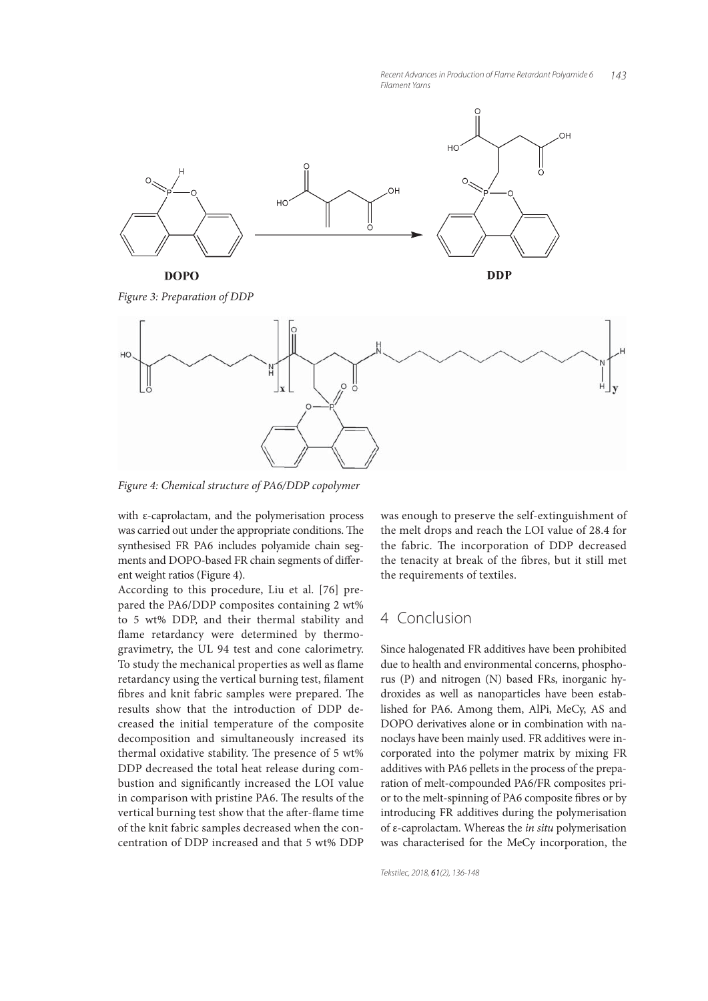

*Figure 3: Preparation of DDP*



*Figure 4: Chemical structure of PA6/DDP copolymer*

with ε-caprolactam, and the polymerisation process was carried out under the appropriate conditions. The synthesised FR PA6 includes polyamide chain segments and DOPO-based FR chain segments of different weight ratios (Figure 4).

According to this procedure, Liu et al. [76] prepared the PA6/DDP composites containing 2 wt% to 5 wt% DDP, and their thermal stability and flame retardancy were determined by thermogravimetry, the UL 94 test and cone calorimetry. To study the mechanical properties as well as flame retardancy using the vertical burning test, filament fibres and knit fabric samples were prepared. The results show that the introduction of DDP decreased the initial temperature of the composite decomposition and simultaneously increased its thermal oxidative stability. The presence of 5 wt% DDP decreased the total heat release during combustion and significantly increased the LOI value in comparison with pristine PA6. The results of the vertical burning test show that the after-flame time of the knit fabric samples decreased when the concentration of DDP increased and that 5 wt% DDP was enough to preserve the self-extinguishment of the melt drops and reach the LOI value of 28.4 for the fabric. The incorporation of DDP decreased the tenacity at break of the fibres, but it still met the requirements of textiles.

## 4 Conclusion

Since halogenated FR additives have been prohibited due to health and environmental concerns, phosphorus (P) and nitrogen (N) based FRs, inorganic hydroxides as well as nanoparticles have been established for PA6. Among them, AlPi, MeCy, AS and DOPO derivatives alone or in combination with nanoclays have been mainly used. FR additives were incorporated into the polymer matrix by mixing FR additives with PA6 pellets in the process of the preparation of melt-compounded PA6/FR composites prior to the melt-spinning of PA6 composite fibres or by introducing FR additives during the polymerisation of ε-caprolactam. Whereas the *in situ* polymerisation was characterised for the MeCy incorporation, the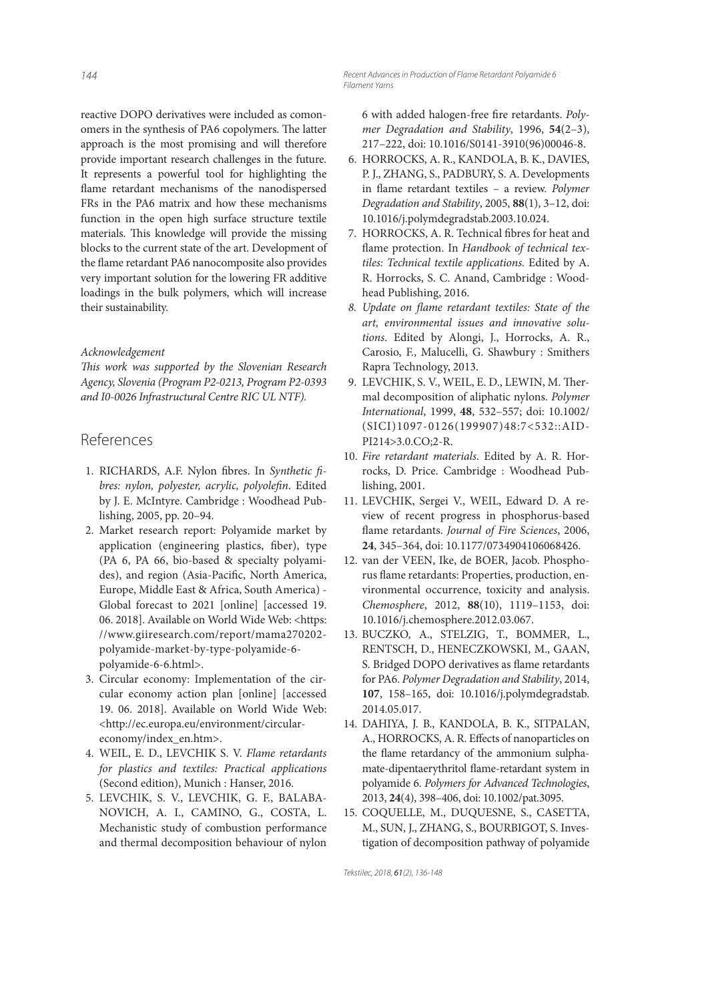reactive DOPO derivatives were included as comonomers in the synthesis of PA6 copolymers. The latter approach is the most promising and will therefore provide important research challenges in the future. It represents a powerful tool for highlighting the flame retardant mechanisms of the nanodispersed FRs in the PA6 matrix and how these mechanisms function in the open high surface structure textile materials. This knowledge will provide the missing blocks to the current state of the art. Development of the flame retardant PA6 nanocomposite also provides very important solution for the lowering FR additive loadings in the bulk polymers, which will increase their sustainability.

#### *Acknowledgement*

*This work was supported by the Slovenian Research Agency, Slovenia (Program P2-0213, Program P2-0393 and I0-0026 Infrastructural Centre RIC UL NTF).*

## References

- 1. RICHARDS, A.F. Nylon fibres. In Synthetic fibres: nylon, polyester, acrylic, polyolefin. Edited by J. E. McIntyre. Cambridge : Woodhead Publishing, 2005, pp. 20–94.
- 2. Market research report: Polyamide market by application (engineering plastics, fiber), type (PA 6, PA 66, bio-based & specialty polyamides), and region (Asia-Pacific, North America, Europe, Middle East & Africa, South America) - Global forecast to 2021 [online] [accessed 19. 06. 2018]. Available on World Wide Web: <https: //www.giiresearch.com/report/mama270202 polyamide-market-by-type-polyamide-6 polyamide-6-6.html>.
- 3. Circular economy: Implementation of the circular economy action plan [online] [accessed 19. 06. 2018]. Available on World Wide Web: <http://ec.europa.eu/environment/circular economy/index\_en.htm>.
- 4. WEIL, E. D., LEVCHIK S. V. *Flame retardants for plastics and textiles: Practical applications*  (Second edition), Munich : Hanser, 2016.
- 5. LEVCHIK, S. V., LEVCHIK, G. F., BALABA-NOVICH, A. I., CAMINO, G., COSTA, L. Mechanistic study of combustion performance and thermal decomposition behaviour of nylon

6 with added halogen-free fire retardants. Poly*mer Degradation and Stability*, 1996, **54**(2–3), 217–222, doi: 10.1016/S0141-3910(96)00046-8.

- 6. HORROCKS, A. R., KANDOLA, B. K., DAVIES, P. J., ZHANG, S., PADBURY, S. A. Developments in flame retardant textiles - a review. *Polymer Degradation and Stability*, 2005, **88**(1), 3–12, doi: 10.1016/j.polymdegradstab.2003.10.024.
- 7. HORROCKS, A. R. Technical fibres for heat and flame protection. In *Handbook of technical textiles: Technical textile applications.* Edited by A. R. Horrocks, S. C. Anand, Cambridge : Woodhead Publishing, 2016.
- 8. Update on flame retardant textiles: State of the *art, environmental issues and innovative solutions*. Edited by Alongi, J., Horrocks, A. R., Carosio, F., Malucelli, G. Shawbury : Smithers Rapra Technology, 2013.
- 9. LEVCHIK, S. V., WEIL, E. D., LEWIN, M. Thermal decomposition of aliphatic nylons. *Polymer International*, 1999, **48**, 532–557; doi: 10.1002/ (SICI)1097-0126(199907)48:7<532::AID-PI214>3.0.CO;2-R.
- 10. *Fire retardant materials*. Edited by A. R. Horrocks, D. Price. Cambridge : Woodhead Publishing, 2001.
- 11. LEVCHIK, Sergei V., WEIL, Edward D. A review of recent progress in phosphorus-based flame retardants. *Journal of Fire Sciences*, 2006, **24**, 345–364, doi: 10.1177/0734904106068426.
- 12. van der VEEN, Ike, de BOER, Jacob. Phosphorus flame retardants: Properties, production, environmental occurrence, toxicity and analysis. *Chemosphere*, 2012, **88**(10), 1119–1153, doi: 10.1016/j.chemosphere.2012.03.067.
- 13. BUCZKO, A., STELZIG, T., BOMMER, L., RENTSCH, D., HENECZKOWSKI, M., GAAN, S. Bridged DOPO derivatives as flame retardants for PA6. *Polymer Degradation and Stability*, 2014, **107**, 158–165, doi: 10.1016/j.polymdegradstab. 2014.05.017.
- 14. DAHIYA, J. B., KANDOLA, B. K., SITPALAN, A., HORROCKS, A. R. Effects of nanoparticles on the flame retardancy of the ammonium sulphamate-dipentaerythritol flame-retardant system in polyamide 6. *Polymers for Advanced Technologies*, 2013, **24**(4), 398–406, doi: 10.1002/pat.3095.
- 15. COQUELLE, M., DUQUESNE, S., CASETTA, M., SUN, J., ZHANG, S., BOURBIGOT, S. Investigation of decomposition pathway of polyamide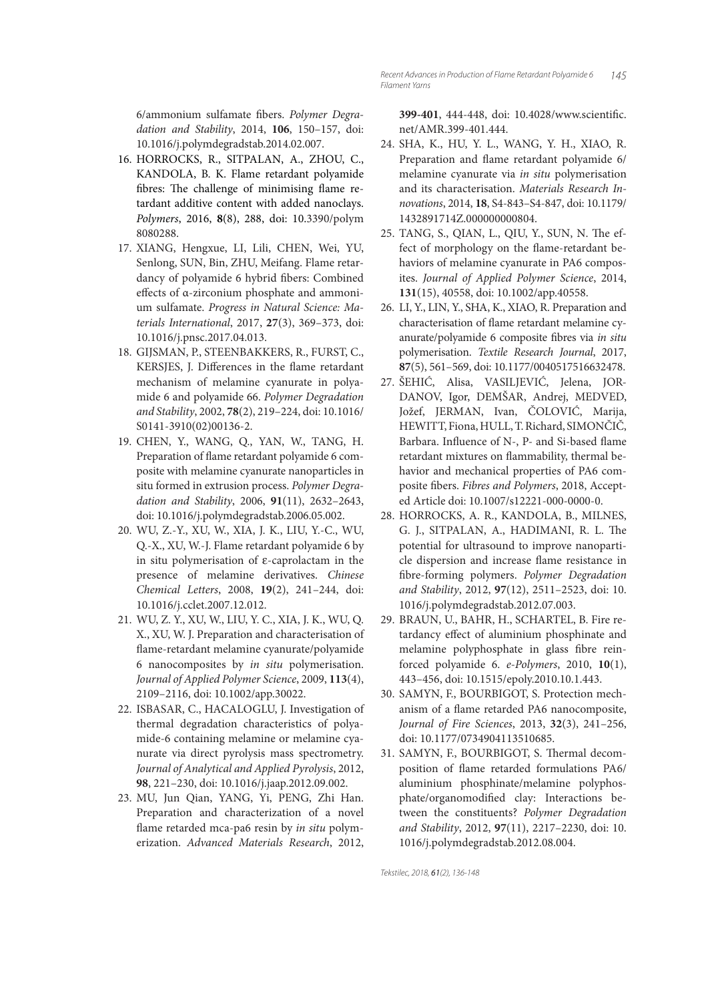6/ammonium sulfamate fibers. Polymer Degra*dation and Stability*, 2014, **106**, 150–157, doi: 10.1016/j.polymdegradstab.2014.02.007.

- 16. HORROCKS, R., SITPALAN, A., ZHOU, C., KANDOLA, B. K. Flame retardant polyamide fibres: The challenge of minimising flame retardant additive content with added nanoclays. *Polymers*, 2016, **8**(8), 288, doi: 10.3390/polym 8080288.
- 17. XIANG, Hengxue, LI, Lili, CHEN, Wei, YU, Senlong, SUN, Bin, ZHU, Meifang. Flame retardancy of polyamide 6 hybrid fibers: Combined effects of α-zirconium phosphate and ammonium sulfamate. *Progress in Natural Science: Materials International*, 2017, **27**(3), 369–373, doi: 10.1016/j.pnsc.2017.04.013.
- 18. GIJSMAN, P., STEENBAKKERS, R., FURST, C., KERSJES, J. Differences in the flame retardant mechanism of melamine cyanurate in polyamide 6 and polyamide 66. *Polymer Degradation and Stability*, 2002, **78**(2), 219–224, doi: 10.1016/ S0141-3910(02)00136-2.
- 19. CHEN, Y., WANG, Q., YAN, W., TANG, H. Preparation of flame retardant polyamide 6 composite with melamine cyanurate nanoparticles in situ formed in extrusion process. *Polymer Degradation and Stability*, 2006, **91**(11), 2632–2643, doi: 10.1016/j.polymdegradstab.2006.05.002.
- 20. WU, Z.-Y., XU, W., XIA, J. K., LIU, Y.-C., WU, Q.-X., XU, W.-J. Flame retardant polyamide 6 by in situ polymerisation of ε-caprolactam in the presence of melamine derivatives. *Chinese Chemical Letters*, 2008, **19**(2), 241–244, doi: 10.1016/j.cclet.2007.12.012.
- 21. WU, Z. Y., XU, W., LIU, Y. C., XIA, J. K., WU, Q. X., XU, W. J. Preparation and characterisation of flame-retardant melamine cyanurate/polyamide 6 nanocomposites by *in situ* polymerisation. *Journal of Applied Polymer Science*, 2009, **113**(4), 2109–2116, doi: 10.1002/app.30022.
- 22. ISBASAR, C., HACALOGLU, J. Investigation of thermal degradation characteristics of polyamide-6 containing melamine or melamine cyanurate via direct pyrolysis mass spectrometry. *Journal of Analytical and Applied Pyrolysis*, 2012, **98**, 221–230, doi: 10.1016/j.jaap.2012.09.002.
- 23. MU, Jun Qian, YANG, Yi, PENG, Zhi Han. Preparation and characterization of a novel flame retarded mca-pa6 resin by *in situ* polymerization. *Advanced Materials Research*, 2012,

399-401, 444-448, doi: 10.4028/www.scientific. net/AMR.399-401.444.

- 24. SHA, K., HU, Y. L., WANG, Y. H., XIAO, R. Preparation and flame retardant polyamide 6/ melamine cyanurate via *in situ* polymerisation and its characterisation. *Materials Research Innovations*, 2014, **18**, S4-843–S4-847, doi: 10.1179/ 1432891714Z.000000000804.
- 25. TANG, S., QIAN, L., QIU, Y., SUN, N. The effect of morphology on the flame-retardant behaviors of melamine cyanurate in PA6 composites. *Journal of Applied Polymer Science*, 2014, **131**(15), 40558, doi: 10.1002/app.40558.
- 26. LI, Y., LIN, Y., SHA, K., XIAO, R. Preparation and characterisation of flame retardant melamine cyanurate/polyamide 6 composite fibres via *in situ* polymerisation. *Textile Research Journal*, 2017, **87**(5), 561–569, doi: 10.1177/0040517516632478.
- 27. ŠEHIĆ, Alisa, VASILJEVIĆ, Jelena, JOR-DANOV, Igor, DEMŠAR, Andrej, MEDVED, Jožef, JERMAN, Ivan, ČOLOVIĆ, Marija, HEWITT, Fiona, HULL, T. Richard, SIMONČIČ, Barbara. Influence of N-, P- and Si-based flame retardant mixtures on flammability, thermal behavior and mechanical properties of PA6 composite fibers. Fibres and Polymers, 2018, Accepted Article doi: 10.1007/s12221-000-0000-0.
- 28. HORROCKS, A. R., KANDOLA, B., MILNES, G. J., SITPALAN, A., HADIMANI, R. L. The potential for ultrasound to improve nanoparticle dispersion and increase flame resistance in fi bre-forming polymers. *Polymer Degradation and Stability*, 2012, **97**(12), 2511–2523, doi: 10. 1016/j.polymdegradstab.2012.07.003.
- 29. BRAUN, U., BAHR, H., SCHARTEL, B. Fire retardancy effect of aluminium phosphinate and melamine polyphosphate in glass fibre reinforced polyamide 6. *e-Polymers*, 2010, **10**(1), 443–456, doi: 10.1515/epoly.2010.10.1.443.
- 30. SAMYN, F., BOURBIGOT, S. Protection mechanism of a flame retarded PA6 nanocomposite, *Journal of Fire Sciences*, 2013, **32**(3), 241–256, doi: 10.1177/0734904113510685.
- 31. SAMYN, F., BOURBIGOT, S. Thermal decomposition of flame retarded formulations PA6/ aluminium phosphinate/melamine polyphosphate/organomodified clay: Interactions between the constituents? *Polymer Degradation and Stability*, 2012, **97**(11), 2217–2230, doi: 10. 1016/j.polymdegradstab.2012.08.004.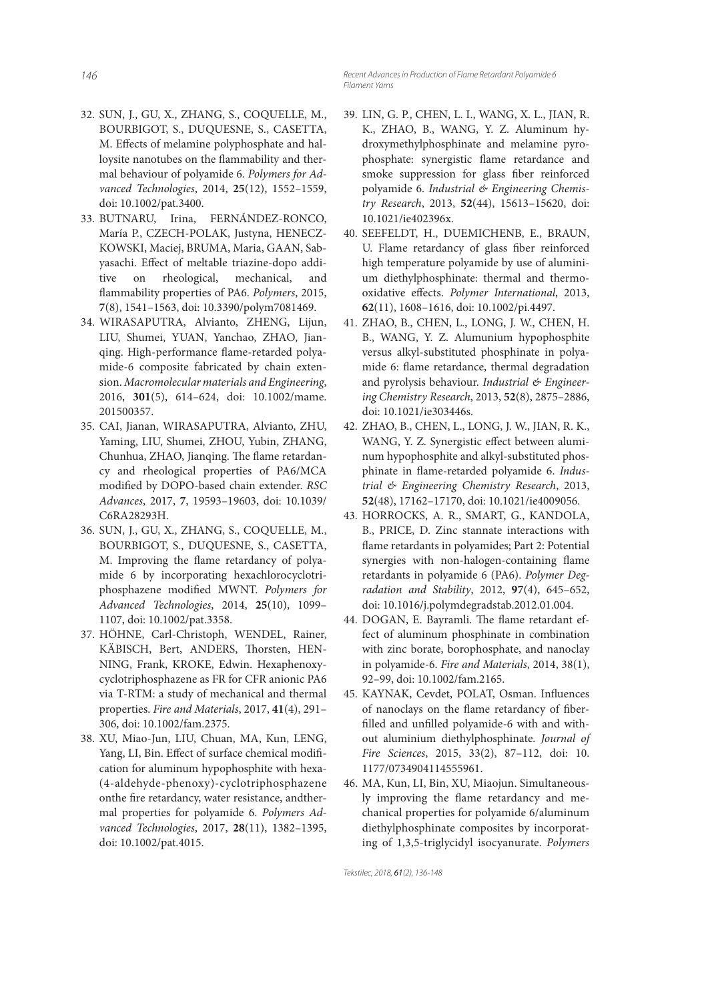- 32. SUN, J., GU, X., ZHANG, S., COQUELLE, M., BOURBIGOT, S., DUQUESNE, S., CASETTA, M. Effects of melamine polyphosphate and halloysite nanotubes on the flammability and thermal behaviour of polyamide 6. *Polymers for Advanced Technologies*, 2014, **25**(12), 1552–1559, doi: 10.1002/pat.3400.
- 33. BUTNARU, Irina, FERNÁNDEZ-RONCO, María P., CZECH-POLAK, Justyna, HENECZ-KOWSKI, Maciej, BRUMA, Maria, GAAN, Sabyasachi. Effect of meltable triazine-dopo additive on rheological, mechanical, and flammability properties of PA6. Polymers, 2015, **7**(8), 1541–1563, doi: 10.3390/polym7081469.
- 34. WIRASAPUTRA, Alvianto, ZHENG, Lijun, LIU, Shumei, YUAN, Yanchao, ZHAO, Jianqing. High-performance flame-retarded polyamide-6 composite fabricated by chain extension. *Macromolecular materials and Engineering*, 2016, **301**(5), 614–624, doi: 10.1002/mame. 201500357.
- 35. CAI, Jianan, WIRASAPUTRA, Alvianto, ZHU, Yaming, LIU, Shumei, ZHOU, Yubin, ZHANG, Chunhua, ZHAO, Jianqing. The flame retardancy and rheological properties of PA6/MCA modified by DOPO-based chain extender. *RSC Advances*, 2017, **7**, 19593–19603, doi: 10.1039/ C6RA28293H.
- 36. SUN, J., GU, X., ZHANG, S., COQUELLE, M., BOURBIGOT, S., DUQUESNE, S., CASETTA, M. Improving the flame retardancy of polyamide 6 by incorporating hexachlorocyclotriphosphazene modified MWNT. Polymers for *Advanced Technologies*, 2014, **25**(10), 1099– 1107, doi: 10.1002/pat.3358.
- 37. HÖHNE, Carl-Christoph, WENDEL, Rainer, KÄBISCH, Bert, ANDERS, Thorsten, HEN-NING, Frank, KROKE, Edwin. Hexaphenoxycyclotriphosphazene as FR for CFR anionic PA6 via T-RTM: a study of mechanical and thermal properties. *Fire and Materials*, 2017, **41**(4), 291– 306, doi: 10.1002/fam.2375.
- 38. XU, Miao-Jun, LIU, Chuan, MA, Kun, LENG, Yang, LI, Bin. Effect of surface chemical modification for aluminum hypophosphite with hexa- (4-aldehyde-phenoxy)-cyclotriphosphazene onthe fire retardancy, water resistance, andthermal properties for polyamide 6. *Polymers Advanced Technologies*, 2017, **28**(11), 1382–1395, doi: 10.1002/pat.4015.
- 39. LIN, G. P., CHEN, L. I., WANG, X. L., JIAN, R. K., ZHAO, B., WANG, Y. Z. Aluminum hydroxymethylphosphinate and melamine pyrophosphate: synergistic flame retardance and smoke suppression for glass fiber reinforced polyamide 6. *Industrial & Engineering Chemistry Research*, 2013, **52**(44), 15613–15620, doi: 10.1021/ie402396x.
- 40. SEEFELDT, H., DUEMICHENB, E., BRAUN, U. Flame retardancy of glass fiber reinforced high temperature polyamide by use of aluminium diethylphosphinate: thermal and thermooxidative effects. Polymer International, 2013, **62**(11), 1608–1616, doi: 10.1002/pi.4497.
- 41. ZHAO, B., CHEN, L., LONG, J. W., CHEN, H. B., WANG, Y. Z. Alumunium hypophosphite versus alkyl-substituted phosphinate in polyamide 6: flame retardance, thermal degradation and pyrolysis behaviour. *Industrial & Engineering Chemistry Research*, 2013, **52**(8), 2875–2886, doi: 10.1021/ie303446s.
- 42. ZHAO, B., CHEN, L., LONG, J. W., JIAN, R. K., WANG, Y. Z. Synergistic effect between aluminum hypophosphite and alkyl-substituted phosphinate in flame-retarded polyamide 6. *Industrial & Engineering Chemistry Research*, 2013, **52**(48), 17162–17170, doi: 10.1021/ie4009056.
- 43. HORROCKS, A. R., SMART, G., KANDOLA, B., PRICE, D. Zinc stannate interactions with flame retardants in polyamides; Part 2: Potential synergies with non-halogen-containing flame retardants in polyamide 6 (PA6). *Polymer Degradation and Stability*, 2012, **97**(4), 645–652, doi: 10.1016/j.polymdegradstab.2012.01.004.
- 44. DOGAN, E. Bayramli. The flame retardant effect of aluminum phosphinate in combination with zinc borate, borophosphate, and nanoclay in polyamide-6. *Fire and Materials*, 2014, 38(1), 92–99, doi: 10.1002/fam.2165.
- 45. KAYNAK, Cevdet, POLAT, Osman. Influences of nanoclays on the flame retardancy of fiberfilled and unfilled polyamide-6 with and without aluminium diethylphosphinate. *Journal of Fire Sciences*, 2015, 33(2), 87–112, doi: 10. 1177/0734904114555961.
- 46. MA, Kun, LI, Bin, XU, Miaojun. Simultaneously improving the flame retardancy and mechanical properties for polyamide 6/aluminum diethylphosphinate composites by incorporating of 1,3,5-triglycidyl isocyanurate. *Polymers*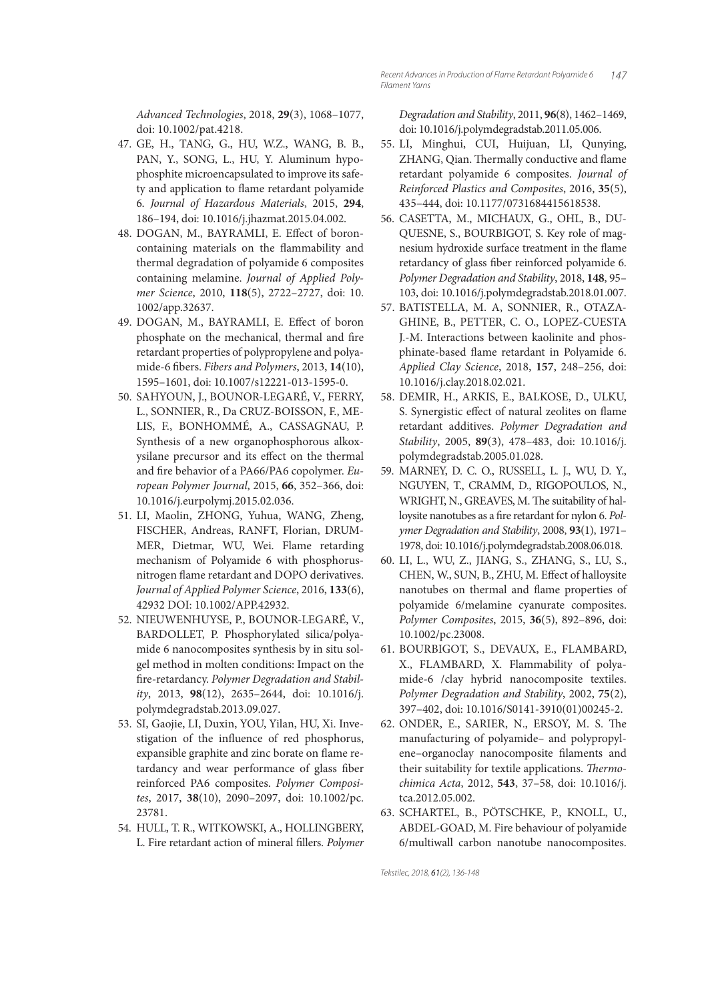*Advanced Technologies*, 2018, **29**(3), 1068–1077, doi: 10.1002/pat.4218.

- 47. GE, H., TANG, G., HU, W.Z., WANG, B. B., PAN, Y., SONG, L., HU, Y. Aluminum hypophosphite microencapsulated to improve its safety and application to flame retardant polyamide 6. *Journal of Hazardous Materials*, 2015, **294**, 186–194, doi: 10.1016/j.jhazmat.2015.04.002.
- 48. DOGAN, M., BAYRAMLI, E. Effect of boroncontaining materials on the flammability and thermal degradation of polyamide 6 composites containing melamine. *Journal of Applied Polymer Science*, 2010, **118**(5), 2722–2727, doi: 10. 1002/app.32637.
- 49. DOGAN, M., BAYRAMLI, E. Effect of boron phosphate on the mechanical, thermal and fire retardant properties of polypropylene and polyamide-6 fi bers. *Fibers and Polymers*, 2013, **14**(10), 1595–1601, doi: 10.1007/s12221-013-1595-0.
- 50. SAHYOUN, J., BOUNOR-LEGARÉ, V., FERRY, L., SONNIER, R., Da CRUZ-BOISSON, F., ME-LIS, F., BONHOMMÉ, A., CASSAGNAU, P. Synthesis of a new organophosphorous alkoxysilane precursor and its effect on the thermal and fire behavior of a PA66/PA6 copolymer. *European Polymer Journal*, 2015, **66**, 352–366, doi: 10.1016/j.eurpolymj.2015.02.036.
- 51. LI, Maolin, ZHONG, Yuhua, WANG, Zheng, FISCHER, Andreas, RANFT, Florian, DRUM-MER, Dietmar, WU, Wei. Flame retarding mechanism of Polyamide 6 with phosphorusnitrogen flame retardant and DOPO derivatives. *Journal of Applied Polymer Science*, 2016, **133**(6), 42932 DOI: 10.1002/APP.42932.
- 52. NIEUWENHUYSE, P., BOUNOR-LEGARÉ, V., BARDOLLET, P. Phosphorylated silica/polyamide 6 nanocomposites synthesis by in situ solgel method in molten conditions: Impact on the fire-retardancy. Polymer Degradation and Stabil*ity*, 2013, **98**(12), 2635–2644, doi: 10.1016/j. polymdegradstab.2013.09.027.
- 53. SI, Gaojie, LI, Duxin, YOU, Yilan, HU, Xi. Investigation of the influence of red phosphorus, expansible graphite and zinc borate on flame retardancy and wear performance of glass fiber reinforced PA6 composites. *Polymer Composites*, 2017, **38**(10), 2090–2097, doi: 10.1002/pc. 23781.
- 54. HULL, T. R., WITKOWSKI, A., HOLLINGBERY, L. Fire retardant action of mineral fillers. *Polymer*

*Degradation and Stability*, 2011, **96**(8), 1462–1469, doi: 10.1016/j.polymdegradstab.2011.05.006.

- 55. LI, Minghui, CUI, Huijuan, LI, Qunying, ZHANG, Qian. Thermally conductive and flame retardant polyamide 6 composites. *Journal of Reinforced Plastics and Composites*, 2016, **35**(5), 435–444, doi: 10.1177/0731684415618538.
- 56. CASETTA, M., MICHAUX, G., OHL, B., DU-QUESNE, S., BOURBIGOT, S. Key role of magnesium hydroxide surface treatment in the flame retardancy of glass fiber reinforced polyamide 6. *Polymer Degradation and Stability*, 2018, **148**, 95– 103, doi: 10.1016/j.polymdegradstab.2018.01.007.
- 57. BATISTELLA, M. A, SONNIER, R., OTAZA-GHINE, B., PETTER, C. O., LOPEZ-CUESTA J.-M. Interactions between kaolinite and phosphinate-based flame retardant in Polyamide 6. *Applied Clay Science*, 2018, **157**, 248–256, doi: 10.1016/j.clay.2018.02.021.
- 58. DEMIR, H., ARKIS, E., BALKOSE, D., ULKU, S. Synergistic effect of natural zeolites on flame retardant additives. *Polymer Degradation and Stability*, 2005, **89**(3), 478–483, doi: 10.1016/j. polymdegradstab.2005.01.028.
- 59. MARNEY, D. C. O., RUSSELL, L. J., WU, D. Y., NGUYEN, T., CRAMM, D., RIGOPOULOS, N., WRIGHT, N., GREAVES, M. The suitability of halloysite nanotubes as a fire retardant for nylon 6. *Polymer Degradation and Stability*, 2008, **93**(1), 1971– 1978, doi: 10.1016/j.polymdegradstab.2008.06.018.
- 60. LI, L., WU, Z., JIANG, S., ZHANG, S., LU, S., CHEN, W., SUN, B., ZHU, M. Effect of halloysite nanotubes on thermal and flame properties of polyamide 6/melamine cyanurate composites. *Polymer Composites*, 2015, **36**(5), 892–896, doi: 10.1002/pc.23008.
- 61. BOURBIGOT, S., DEVAUX, E., FLAMBARD, X., FLAMBARD, X. Flammability of polyamide-6 /clay hybrid nanocomposite textiles. *Polymer Degradation and Stability*, 2002, **75**(2), 397–402, doi: 10.1016/S0141-3910(01)00245-2.
- 62. ONDER, E., SARIER, N., ERSOY, M. S. The manufacturing of polyamide– and polypropylene-organoclay nanocomposite filaments and their suitability for textile applications. *Thermochimica Acta*, 2012, **543**, 37–58, doi: 10.1016/j. tca.2012.05.002.
- 63. SCHARTEL, B., PÖTSCHKE, P., KNOLL, U., ABDEL-GOAD, M. Fire behaviour of polyamide 6/multiwall carbon nanotube nanocomposites.